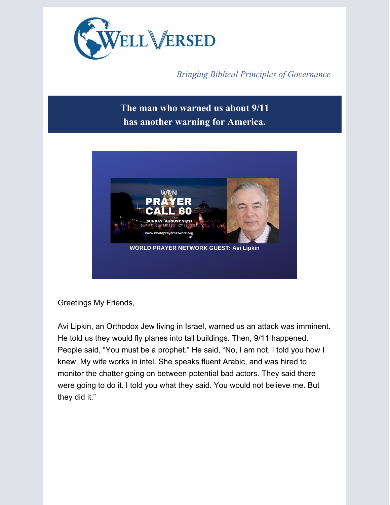

*Bringing Biblical Principles of Governance*

## **The man who warned us about 9/11 has another warning for America.**



Greetings My Friends,

Avi Lipkin, an Orthodox Jew living in Israel, warned us an attack was imminent. He told us they would fly planes into tall buildings. Then, 9/11 happened. People said, "You must be a prophet." He said, "No, I am not. I told you how I knew. My wife works in intel. She speaks fluent Arabic, and was hired to monitor the chatter going on between potential bad actors. They said there were going to do it. I told you what they said. You would not believe me. But they did it."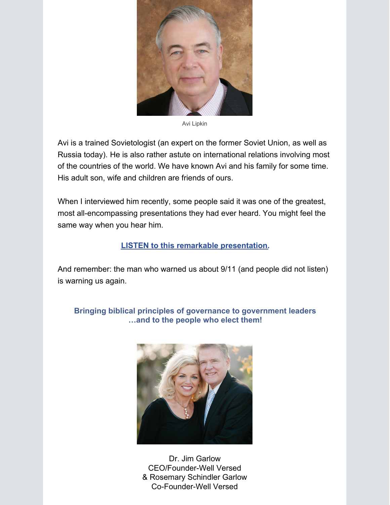

Avi Lipkin

Avi is a trained Sovietologist (an expert on the former Soviet Union, as well as Russia today). He is also rather astute on international relations involving most of the countries of the world. We have known Avi and his family for some time. His adult son, wife and children are friends of ours.

When I interviewed him recently, some people said it was one of the greatest, most all-encompassing presentations they had ever heard. You might feel the same way when you hear him.

## **LISTEN to this remarkable [presentation](https://app.videosquirrel.app/watch/2005).**

And remember: the man who warned us about 9/11 (and people did not listen) is warning us again.

**Bringing biblical principles of governance to government leaders …and to the people who elect them!**



Dr. Jim Garlow CEO/Founder-Well Versed & Rosemary Schindler Garlow Co-Founder-Well Versed